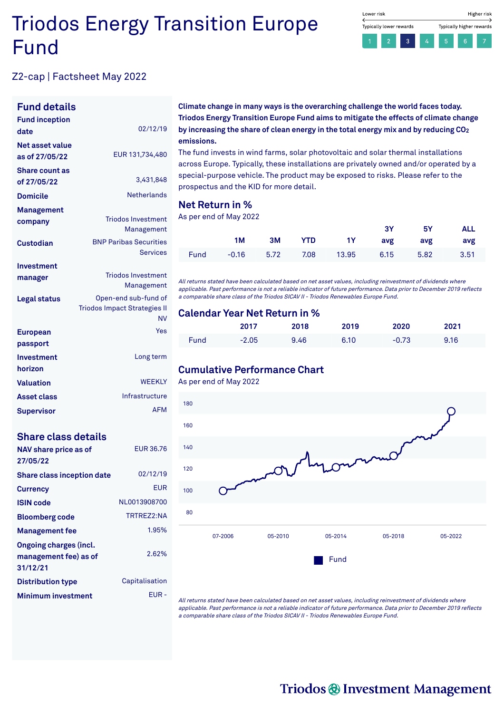# Triodos Energy Transition Europe Fund



# Z2-cap | Factsheet May 2022

### **Fund details**

| <b>Fund inception</b><br>date        | 02/12/19                                                          |
|--------------------------------------|-------------------------------------------------------------------|
| Net asset value<br>as of 27/05/22    | EUR 131,734,480                                                   |
| <b>Share count as</b><br>of 27/05/22 | 3,431,848                                                         |
| <b>Domicile</b>                      | <b>Netherlands</b>                                                |
| Management                           |                                                                   |
| company                              | <b>Triodos Investment</b><br>Management                           |
| Custodian                            | <b>BNP Paribas Securities</b><br><b>Services</b>                  |
| Investment                           |                                                                   |
| manager                              | <b>Triodos Investment</b><br>Management                           |
| Legal status                         | Open-end sub-fund of<br><b>Triodos Impact Strategies II</b><br>NV |
| <b>European</b><br>passport          | Yes                                                               |
| Investment<br>horizon                | Long term                                                         |
| <b>Valuation</b>                     | <b>WEEKLY</b>                                                     |
| <b>Asset class</b>                   | Infrastructure                                                    |
| Supervisor                           | <b>AFM</b>                                                        |

#### **Share class details**

| NAV share price as of<br>27/05/22                                  | EUR 36.76      |
|--------------------------------------------------------------------|----------------|
| <b>Share class inception date</b>                                  | 02/12/19       |
| <b>Currency</b>                                                    | EUR            |
| ISIN code                                                          | NL0013908700   |
| <b>Bloomberg code</b>                                              | TRTRF72:NA     |
| <b>Management fee</b>                                              | 1.95%          |
| <b>Ongoing charges (incl.</b><br>management fee) as of<br>31/12/21 | 2.62%          |
| <b>Distribution type</b>                                           | Capitalisation |
| <b>Minimum investment</b>                                          | FUR -          |

**Climate change in many ways is the overarching challenge the world faces today. Triodos Energy Transition Europe Fund aims to mitigate the effects of climate change by increasing the share of clean energy in the total energy mix and by reducing CO 2 emissions.**

The fund invests in wind farms, solar photovoltaic and solar thermal installations across Europe. Typically, these installations are privately owned and/or operated by a special-purpose vehicle. The product may be exposed to risks. Please refer to the prospectus and the KID for more detail.

#### **Net Return in %**

As per end of May 2022

|  |  |                                           | 3Y 5Y ALL |  |
|--|--|-------------------------------------------|-----------|--|
|  |  | 1M 3M YTD 1Y avg avg avg                  |           |  |
|  |  | Fund -0.16 5.72 7.08 13.95 6.15 5.82 3.51 |           |  |

All returns stated have been calculated based on net asset values, including reinvestment of dividends where applicable. Past performance is not <sup>a</sup> reliable indicator of future performance. Data prior to December 2019 reflects <sup>a</sup> comparable share class of the Triodos SICAV II - Triodos Renewables Europe Fund.

#### **Calendar Year Net Return in %**

|      | 2017    | 2018 | 2019 | 2020    | 2021 |  |
|------|---------|------|------|---------|------|--|
| Fund | $-2.05$ | 9.46 | 6.10 | $-0.73$ | 9.16 |  |

## **Cumulative Performance Chart**

As per end of May 2022



All returns stated have been calculated based on net asset values, including reinvestment of dividends where applicable. Past performance is not <sup>a</sup> reliable indicator of future performance. Data prior to December 2019 reflects <sup>a</sup> comparable share class of the Triodos SICAV II - Triodos Renewables Europe Fund.

# Triodos @ Investment Management